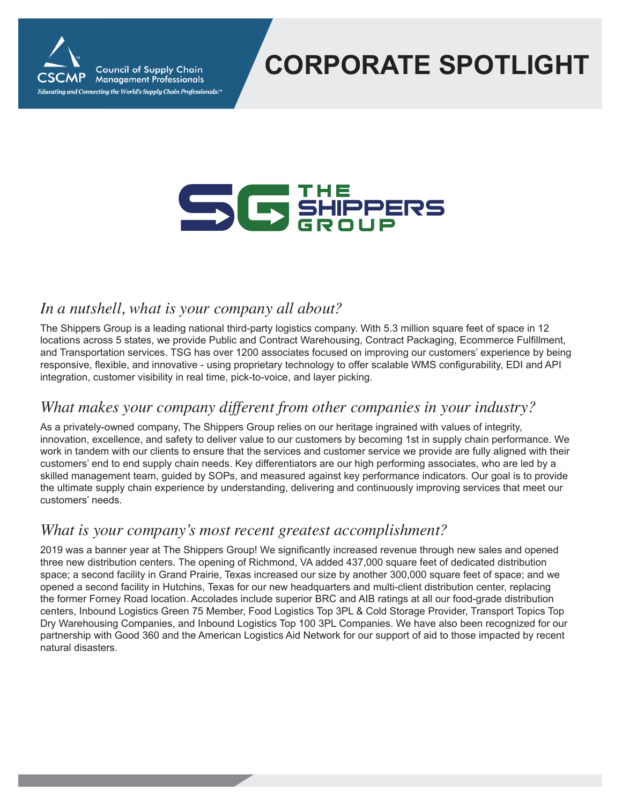

# **CORPORATE SPOTLIGHT**

# SC SHIPPERS

### *In a nutshell, what is your company all about?*

The Shippers Group is a leading national third-party logistics company. With 5.3 million square feet of space in 12 locations across 5 states, we provide Public and Contract Warehousing, Contract Packaging, Ecommerce Fulfillment, and Transportation services. TSG has over 1200 associates focused on improving our customers' experience by being responsive, flexible, and innovative - using proprietary technology to offer scalable WMS configurability, EDI and API integration, customer visibility in real time, pick-to-voice, and layer picking.

#### *What makes your company different from other companies in your industry?*

As a privately-owned company, The Shippers Group relies on our heritage ingrained with values of integrity, innovation, excellence, and safety to deliver value to our customers by becoming 1st in supply chain performance. We work in tandem with our clients to ensure that the services and customer service we provide are fully aligned with their customers' end to end supply chain needs. Key differentiators are our high performing associates, who are led by a skilled management team, guided by SOPs, and measured against key performance indicators. Our goal is to provide the ultimate supply chain experience by understanding, delivering and continuously improving services that meet our customers' needs.

#### *What is your company's most recent greatest accomplishment?*

2019 was a banner year at The Shippers Group! We significantly increased revenue through new sales and opened three new distribution centers. The opening of Richmond, VA added 437,000 square feet of dedicated distribution space; a second facility in Grand Prairie, Texas increased our size by another 300,000 square feet of space; and we opened a second facility in Hutchins, Texas for our new headquarters and multi-client distribution center, replacing the former Forney Road location. Accolades include superior BRC and AIB ratings at all our food-grade distribution centers, Inbound Logistics Green 75 Member, Food Logistics Top 3PL & Cold Storage Provider, Transport Topics Top Dry Warehousing Companies, and Inbound Logistics Top 100 3PL Companies. We have also been recognized for our partnership with Good 360 and the American Logistics Aid Network for our support of aid to those impacted by recent natural disasters.